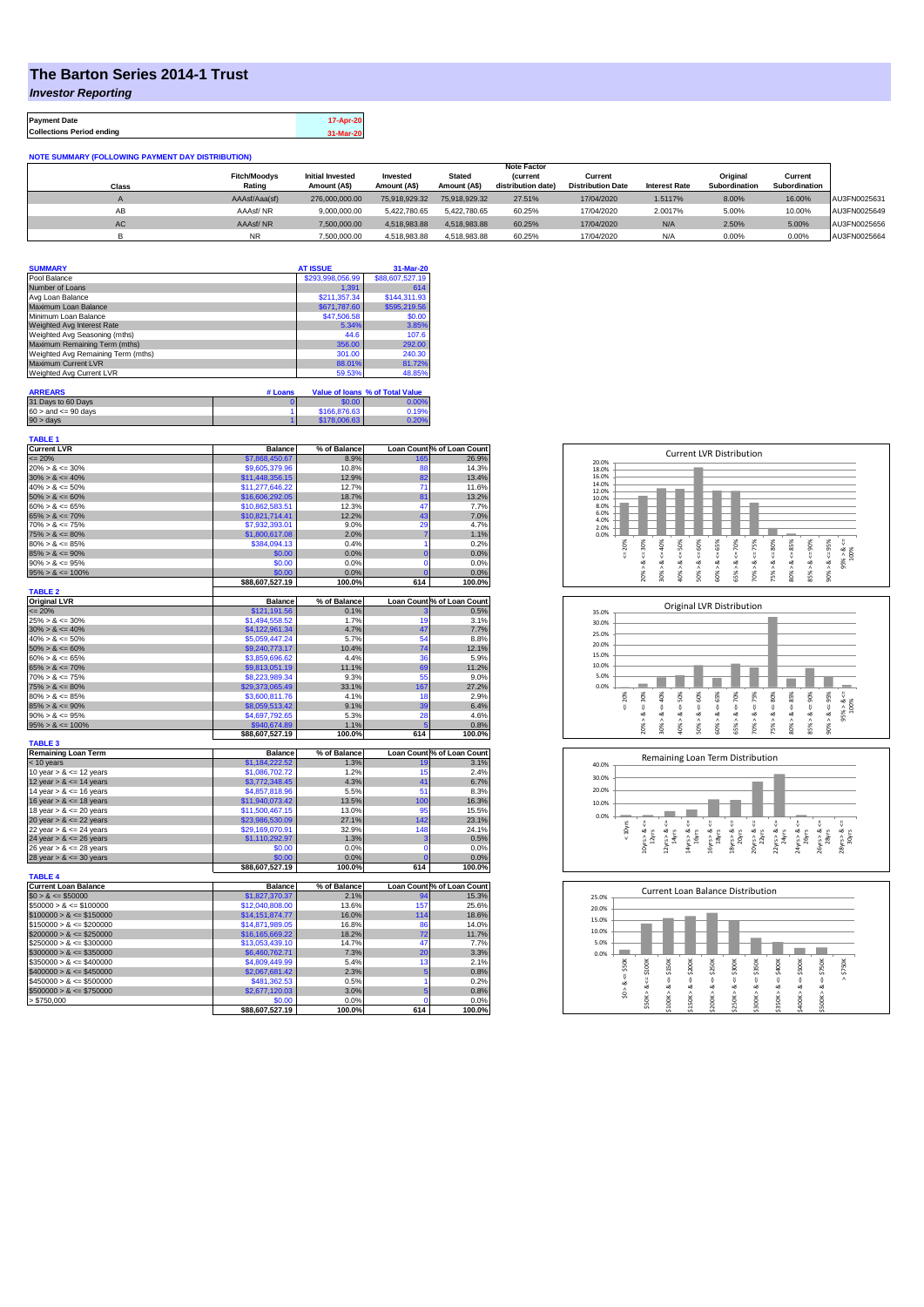## **The Barton Series 2014-1 Trust**

*Investor Reporting*

**Payment Date 17-Apr-20 Collections Period ending 31-Mar-20**

## **NOTE SUMMARY (FOLLOWING PAYMENT DAY DISTRIBUTION)**

|           |                     |                         |               |               | <b>Note Factor</b> |                          |                      |               |               |              |
|-----------|---------------------|-------------------------|---------------|---------------|--------------------|--------------------------|----------------------|---------------|---------------|--------------|
|           | <b>Fitch/Moodys</b> | <b>Initial Invested</b> | Invested      | <b>Stated</b> | <i>(current</i>    | Current                  |                      | Original      | Current       |              |
| Class     | Rating              | Amount (A\$)            | Amount (A\$)  | Amount (A\$)  | distribution date) | <b>Distribution Date</b> | <b>Interest Rate</b> | Subordination | Subordination |              |
|           | AAAsf/Aaa(sf)       | 276,000,000,00          | 75.918.929.32 | 75.918.929.32 | 27.51%             | 17/04/2020               | 1.5117%              | 8.00%         | 16.00%        | AU3FN0025631 |
| AB        | AAAsf/NR            | 9,000,000.00            | 5.422.780.65  | 5.422.780.65  | 60.25%             | 17/04/2020               | 2.0017%              | 5.00%         | 10.00%        | AU3FN0025649 |
| <b>AC</b> | AAAsf/NR            | 7,500,000.00            | 4.518.983.88  | 4.518.983.88  | 60.25%             | 17/04/2020               | N/A                  | 2.50%         | 5.00%         | AU3FN0025656 |
|           | NR.                 | 7.500.000.00            | 4.518.983.88  | 4.518.983.88  | 60.25%             | 17/04/2020               | N/A                  | 0.00%         | 0.00%         | AU3FN0025664 |

| <b>SUMMARY</b>                     | <b>AT ISSUE</b>  | 31-Mar-20       |
|------------------------------------|------------------|-----------------|
| Pool Balance                       | \$293,998,056.99 | \$88,607,527.19 |
| Number of Loans                    | 1.391            | 614             |
| Avg Loan Balance                   | \$211,357.34     | \$144,311.93    |
| Maximum Loan Balance               | \$671,787.60     | \$595,219.56    |
| Minimum Loan Balance               | \$47,506.58      | \$0.00          |
| Weighted Avg Interest Rate         | 5.34%            | 3.85%           |
| Weighted Avg Seasoning (mths)      | 44.6             | 107.6           |
| Maximum Remaining Term (mths)      | 356.00           | 292.00          |
| Weighted Avg Remaining Term (mths) | 301.00           | 240.30          |
| Maximum Current LVR                | 88.01%           | 81.72%          |
| Weighted Avg Current LVR           | 59.53%           | 48.85%          |

| <b>ARREARS</b>            | # Loans |              | Value of Ioans % of Total Value |
|---------------------------|---------|--------------|---------------------------------|
| 31 Days to 60 Days        |         | \$0.00       | 0.00%                           |
| $60 >$ and $\leq 90$ days |         | \$166,876,63 | 0.19%                           |
| $90 >$ days               |         | \$178,006,63 | 0.20%                           |

| <b>TABLE 1</b><br><b>Current LVR</b> | <b>Balance</b>                  | % of Balance   | Loan Count % of Loan Count |                                                         |
|--------------------------------------|---------------------------------|----------------|----------------------------|---------------------------------------------------------|
| $= 20%$                              | \$7,868,450.67                  | 8.9%           | 165                        | 26.9%                                                   |
| $20\% > 8 \le 30\%$                  | \$9,605,379.96                  | 10.8%          | 88                         | 14.3%                                                   |
| $30\% > 8 \le 40\%$                  | \$11,448,356.15                 | 12.9%          | 82                         | 13.4%                                                   |
| $40\% > 8 \le 50\%$                  | \$11,277,646.22                 | 12.7%          | 71                         | 11.6%                                                   |
| $50\% > 8 \le 60\%$                  | \$16,606,292.05                 | 18.7%          | 81                         | 13.2%                                                   |
| $60\% > 8 \le 65\%$                  | \$10,862,583.51                 | 12.3%          | 47                         | 7.7%                                                    |
| $65\% > 8 \le 70\%$                  | \$10.821.714.41                 | 12.2%          | 43                         | 7.0%                                                    |
| $70\% > 8 \le 75\%$                  | \$7,932,393.01                  | 9.0%           | 29                         | 4.7%                                                    |
| $75\% > 8 \le 80\%$                  | \$1,800,617.08                  | 2.0%           | 7                          | 1.1%                                                    |
| $80\% > 8 \le 85\%$                  | \$384,094.13                    | 0.4%           | 1                          | 0.2%                                                    |
| $85\% > 8 \le 90\%$                  | \$0.00                          | 0.0%           | $\mathbf 0$                | 0.0%                                                    |
| $90\% > 8 \le 95\%$                  | \$0.00                          | 0.0%           | $\mathbf 0$                | 0.0%                                                    |
| $95\% > 8 \le 100\%$                 | \$0.00                          | 0.0%           | C                          | 0.0%                                                    |
|                                      | \$88.607.527.19                 | 100.0%         | 614                        | 100.0%                                                  |
| <b>TABLE 2</b>                       |                                 |                |                            |                                                         |
| <b>Original LVR</b>                  | <b>Balance</b>                  | % of Balance   | Loan Count % of Loan Count |                                                         |
| $= 20%$                              | \$121,191.56                    | 0.1%           |                            | 0.5%                                                    |
| $25\% > 8 \le 30\%$                  | \$1,494,558.52                  | 1.7%           | 19                         | 3.1%                                                    |
| $30\% > 8 \le 40\%$                  | \$4,122,961.34                  | 4.7%           | 47                         | 7.7%                                                    |
| $40\% > 8 \le 50\%$                  | \$5,059,447.24                  | 5.7%           | 54                         | 8.8%                                                    |
| $50\% > 8 \le 60\%$                  | \$9,240,773.17                  | 10.4%          | 74                         | 12.1%                                                   |
| $60\% > 8 \le 65\%$                  | \$3,859,696.62                  | 4.4%           | 36                         | 5.9%                                                    |
| $65\% > 8 \le 70\%$                  | \$9,813,051.19                  | 11.1%          | 69                         | 11.2%                                                   |
| $70\% > 8 \le 75\%$                  | \$8,223,989.34                  | 9.3%           | 55                         | 9.0%                                                    |
| $75\% > 8 \le 80\%$                  | \$29,373,065.49                 | 33.1%          | 167                        | 27.2%                                                   |
| $80\% > 8 \le 85\%$                  | \$3,600,811.76                  | 4.1%           | 18                         | 2.9%                                                    |
| $85\% > 8 \le 90\%$                  | \$8,059,513.42                  | 9.1%           | 39                         | 6.4%                                                    |
| $90\% > 8 \le 95\%$                  | \$4,697,792.65                  | 5.3%           | 28                         | 4.6%                                                    |
| $95\% > 8 \le 100\%$                 |                                 | 1.1%           | 5                          | 0.8%                                                    |
|                                      | \$940,674.89<br>\$88,607,527.19 | 100.0%         | 614                        | 100.0%                                                  |
| <b>TABLE 3</b>                       |                                 |                |                            |                                                         |
| <b>Remaining Loan Term</b>           | <b>Balance</b>                  | % of Balance   | Loan Count % of Loan Count |                                                         |
| < 10 years                           | \$1,184,222.52                  | 1.3%           | 19                         | 3.1%                                                    |
| 10 year $> 8 \le 12$ years           | \$1,086,702.72                  | 1.2%           | 15                         | 2.4%                                                    |
| 12 year $> 8 \le 14$ years           | \$3,772,348.45                  | 4.3%           | 41                         | 6.7%                                                    |
| 14 year $> 8 \le 16$ years           | \$4,857,818,96                  | 5.5%           | 51                         | 8.3%                                                    |
| 16 year $> 8 \le 18$ years           | \$11,940,073.42                 | 13.5%          | 100                        | 16.3%                                                   |
| 18 year $> 8 \le 20$ years           | \$11,500,467.15                 | 13.0%          | 95                         | 15.5%                                                   |
| 20 year $> 8 \le 22$ years           | \$23,986,530.09                 | 27.1%          | 142                        | 23.1%                                                   |
| 22 year $> 8 \le 24$ years           | \$29,169,070.91                 | 32.9%          | 148                        | 24.1%                                                   |
| 24 year $> 8 \le 26$ years           | \$1,110,292.97                  | 1.3%           | 3                          | 0.5%                                                    |
| 26 year $> 8 \le 28$ years           | \$0.00                          | 0.0%           | $\Omega$                   | 0.0%                                                    |
| 28 year $> 8 \le 30$ years           | \$0.00                          | 0.0%           | 0                          | 0.0%                                                    |
|                                      | \$88,607,527.19                 | 100.0%         | 614                        | 100.0%                                                  |
| <b>TABLE 4</b>                       |                                 |                |                            |                                                         |
| <b>Current Loan Balance</b>          | <b>Balance</b>                  | % of Balance   | Loan Count % of Loan Count |                                                         |
| $$0 > 8 \leq $50000$                 | \$1,827,370.37                  | 2.1%           | 94                         | 15.3%                                                   |
|                                      | \$12,040,808.00                 | 13.6%          | 157                        | 25.6%                                                   |
|                                      |                                 |                |                            |                                                         |
| $$50000 > 8 \leq $100000$            |                                 |                |                            |                                                         |
| $$100000 > 8 \le $150000$            | \$14,151,874.77                 | 16.0%          | 114                        |                                                         |
| $$150000 > 8 \leq $200000$           | \$14,871,989.05                 | 16.8%          | 86                         |                                                         |
| $$200000 > 8 \leq $250000$           | \$16,165,669.22                 | 18.2%          | 72                         |                                                         |
| $$250000 > 8 \le $300000$            | \$13,053,439.10                 | 14.7%          | 47                         |                                                         |
| $$300000 > 8 \leq $350000$           | \$6,460,762.71                  | 7.3%           | 20                         |                                                         |
| $$350000 > 8 \le $400000$            | \$4,809,449.99                  | 5.4%           | 13                         |                                                         |
| $$400000 > 8 \le $450000$            | \$2,067,681.42                  | 2.3%           | 5                          | 18.6%<br>14.0%<br>11.7%<br>7.7%<br>3.3%<br>2.1%<br>0.8% |
| $$450000 > 8 \le $500000$            | \$481,362.53                    | 0.5%           | 1                          | 0.2%                                                    |
| $$500000 > 8 \le $750000$            | \$2,677,120.03                  | 3.0%           | 5                          |                                                         |
| > \$750,000                          | \$0.00<br>\$88,607,527.19       | 0.0%<br>100.0% | $\Omega$<br>614            | 0.8%<br>0.0%<br>100.0%                                  |







| 25.0% |        |        |        |         |        |        | <b>Current Loan Balance Distribution</b> |        |        |        |        |
|-------|--------|--------|--------|---------|--------|--------|------------------------------------------|--------|--------|--------|--------|
| 20.0% |        |        |        |         |        |        |                                          |        |        |        |        |
| 15.0% |        |        |        |         |        |        |                                          |        |        |        |        |
| 10.0% |        |        |        |         |        |        |                                          |        |        |        |        |
| 5.0%  |        |        |        |         |        |        |                                          |        |        |        |        |
| 0.0%  |        |        |        |         |        |        |                                          |        |        |        |        |
|       | \$50K  | \$100K | \$150K | \$200K  | \$250K | \$300K | \$350K                                   | \$400K | \$500K | \$750K | \$750K |
|       | U      |        |        |         |        |        |                                          |        |        |        | ٨      |
|       | œ<br>٨ | 8 <    | ₩<br>œ | V<br>ઌ  | υ<br>œ | V<br>∞ | ₩<br>œ                                   | ű<br>ಹ | υ<br>œ | V<br>ಜ |        |
|       | S.     |        | Λ      |         |        | Λ      |                                          | ٨      | Λ      | ٨      |        |
|       |        | \$50K> | \$100K | \$150K> | \$200K | \$250K | \$300K                                   | \$350K | \$400K | \$500K |        |
|       |        |        |        |         |        |        |                                          |        |        |        |        |